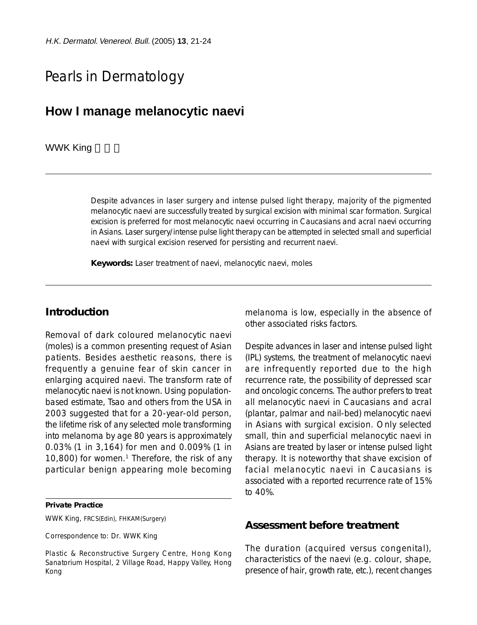# Pearls in Dermatology

## **How I manage melanocytic naevi**

#### WWK King

Despite advances in laser surgery and intense pulsed light therapy, majority of the pigmented melanocytic naevi are successfully treated by surgical excision with minimal scar formation. Surgical excision is preferred for most melanocytic naevi occurring in Caucasians and acral naevi occurring in Asians. Laser surgery/intense pulse light therapy can be attempted in selected small and superficial naevi with surgical excision reserved for persisting and recurrent naevi.

**Keywords:** Laser treatment of naevi, melanocytic naevi, moles

### **Introduction**

Removal of dark coloured melanocytic naevi (moles) is a common presenting request of Asian patients. Besides aesthetic reasons, there is frequently a genuine fear of skin cancer in enlarging acquired naevi. The transform rate of melanocytic naevi is not known. Using populationbased estimate, Tsao and others from the USA in 2003 suggested that for a 20-year-old person, the lifetime risk of any selected mole transforming into melanoma by age 80 years is approximately 0.03% (1 in 3,164) for men and 0.009% (1 in 10,800) for women.<sup>1</sup> Therefore, the risk of any particular benign appearing mole becoming

**Private Practice**

WWK King, FRCS(Edin), FHKAM(Surgery)

Correspondence to: Dr. WWK King

Plastic & Reconstructive Surgery Centre, Hong Kong Sanatorium Hospital, 2 Village Road, Happy Valley, Hong Kong

melanoma is low, especially in the absence of other associated risks factors.

Despite advances in laser and intense pulsed light (IPL) systems, the treatment of melanocytic naevi are infrequently reported due to the high recurrence rate, the possibility of depressed scar and oncologic concerns. The author prefers to treat all melanocytic naevi in Caucasians and acral (plantar, palmar and nail-bed) melanocytic naevi in Asians with surgical excision. Only selected small, thin and superficial melanocytic naevi in Asians are treated by laser or intense pulsed light therapy. It is noteworthy that shave excision of facial melanocytic naevi in Caucasians is associated with a reported recurrence rate of 15% to 40%.

#### **Assessment before treatment**

The duration (acquired versus congenital), characteristics of the naevi (e.g. colour, shape, presence of hair, growth rate, etc.), recent changes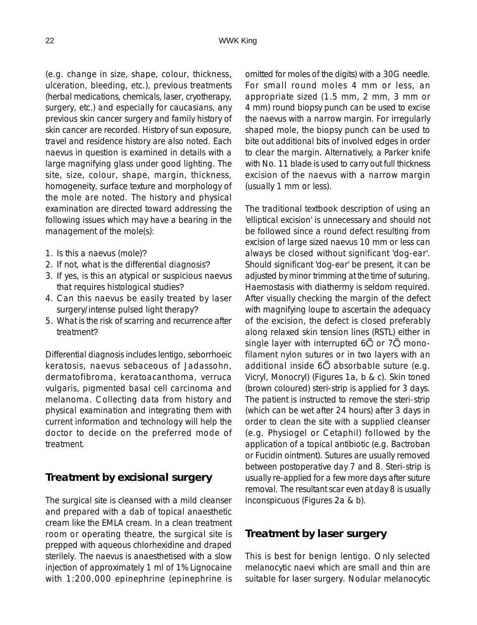(e.g. change in size, shape, colour, thickness, ulceration, bleeding, etc.), previous treatments (herbal medications, chemicals, laser, cryotherapy, surgery, etc.) and especially for caucasians, any previous skin cancer surgery and family history of skin cancer are recorded. History of sun exposure, travel and residence history are also noted. Each naevus in question is examined in details with a large magnifying glass under good lighting. The site, size, colour, shape, margin, thickness, homogeneity, surface texture and morphology of the mole are noted. The history and physical examination are directed toward addressing the following issues which may have a bearing in the management of the mole(s):

- 1. Is this a naevus (mole)?
- 2. If not, what is the differential diagnosis?
- 3. If yes, is this an atypical or suspicious naevus that requires histological studies?
- 4. Can this naevus be easily treated by laser surgery/intense pulsed light therapy?
- 5. What is the risk of scarring and recurrence after treatment?

Differential diagnosis includes lentigo, seborrhoeic keratosis, naevus sebaceous of Jadassohn, dermatofibroma, keratoacanthoma, verruca vulgaris, pigmented basal cell carcinoma and melanoma. Collecting data from history and physical examination and integrating them with current information and technology will help the doctor to decide on the preferred mode of treatment.

### **Treatment by excisional surgery**

The surgical site is cleansed with a mild cleanser and prepared with a dab of topical anaesthetic cream like the EMLA cream. In a clean treatment room or operating theatre, the surgical site is prepped with aqueous chlorhexidine and draped sterilely. The naevus is anaesthetised with a slow injection of approximately 1 ml of 1% Lignocaine with 1:200,000 epinephrine (epinephrine is

omitted for moles of the digits) with a 30G needle. For small round moles 4 mm or less, an appropriate sized (1.5 mm, 2 mm, 3 mm or 4 mm) round biopsy punch can be used to excise the naevus with a narrow margin. For irregularly shaped mole, the biopsy punch can be used to bite out additional bits of involved edges in order to clear the margin. Alternatively, a Parker knife with No. 11 blade is used to carry out full thickness excision of the naevus with a narrow margin (usually 1 mm or less).

The traditional textbook description of using an 'elliptical excision' is unnecessary and should not be followed since a round defect resulting from excision of large sized naevus 10 mm or less can always be closed without significant 'dog-ear'. Should significant 'dog-ear' be present, it can be adjusted by minor trimming at the time of suturing. Haemostasis with diathermy is seldom required. After visually checking the margin of the defect with magnifying loupe to ascertain the adequacy of the excision, the defect is closed preferably along relaxed skin tension lines (RSTL) either in single layer with interrupted  $6\overline{O}$  or  $7\overline{O}$  monofilament nylon sutures or in two layers with an additional inside  $6\overline{O}$  absorbable suture (e.g. Vicryl, Monocryl) (Figures 1a, b & c). Skin toned (brown coloured) steri-strip is applied for 3 days. The patient is instructed to remove the steri-strip (which can be wet after 24 hours) after 3 days in order to clean the site with a supplied cleanser (e.g. Physiogel or Cetaphil) followed by the application of a topical antibiotic (e.g. Bactroban or Fucidin ointment). Sutures are usually removed between postoperative day 7 and 8. Steri-strip is usually re-applied for a few more days after suture removal. The resultant scar even at day 8 is usually inconspicuous (Figures 2a & b).

#### **Treatment by laser surgery**

This is best for benign lentigo. Only selected melanocytic naevi which are small and thin are suitable for laser surgery. Nodular melanocytic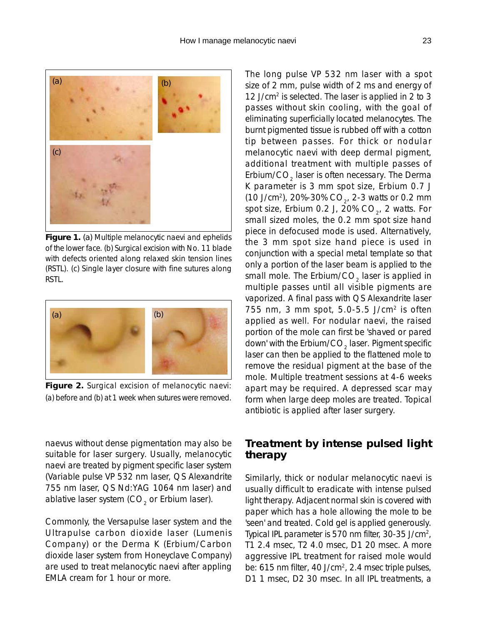

**Figure 1.** (a) Multiple melanocytic naevi and ephelids of the lower face. (b) Surgical excision with No. 11 blade with defects oriented along relaxed skin tension lines (RSTL). (c) Single layer closure with fine sutures along RSTL.



**Figure 2.** Surgical excision of melanocytic naevi: (a) before and (b) at 1 week when sutures were removed.

naevus without dense pigmentation may also be suitable for laser surgery. Usually, melanocytic naevi are treated by pigment specific laser system (Variable pulse VP 532 nm laser, QS Alexandrite 755 nm laser, QS Nd:YAG 1064 nm laser) and ablative laser system  $(CO<sub>2</sub>$  or Erbium laser).

Commonly, the Versapulse laser system and the Ultrapulse carbon dioxide laser (Lumenis Company) or the Derma K (Erbium/Carbon dioxide laser system from Honeyclave Company) are used to treat melanocytic naevi after appling EMLA cream for 1 hour or more.

The long pulse VP 532 nm laser with a spot size of 2 mm, pulse width of 2 ms and energy of 12 J/cm<sup>2</sup> is selected. The laser is applied in 2 to 3 passes without skin cooling, with the goal of eliminating superficially located melanocytes. The burnt pigmented tissue is rubbed off with a cotton tip between passes. For thick or nodular melanocytic naevi with deep dermal pigment, additional treatment with multiple passes of Erbium/CO<sub>2</sub> laser is often necessary. The Derma K parameter is 3 mm spot size, Erbium 0.7 J (10 J/cm<sup>2</sup>), 20%-30% CO<sub>2</sub>, 2-3 watts or 0.2 mm spot size, Erbium 0.2 J, 20%  $CO<sub>2</sub>$ , 2 watts. For small sized moles, the 0.2 mm spot size hand piece in defocused mode is used. Alternatively, the 3 mm spot size hand piece is used in conjunction with a special metal template so that only a portion of the laser beam is applied to the small mole. The Erbium/CO<sub>2</sub> laser is applied in multiple passes until all visible pigments are vaporized. A final pass with QS Alexandrite laser 755 nm, 3 mm spot, 5.0-5.5 J/cm<sup>2</sup> is often applied as well. For nodular naevi, the raised portion of the mole can first be 'shaved or pared down' with the Erbium/CO $_2$  laser. Pigment specific laser can then be applied to the flattened mole to remove the residual pigment at the base of the mole. Multiple treatment sessions at 4-6 weeks apart may be required. A depressed scar may form when large deep moles are treated. Topical antibiotic is applied after laser surgery.

### **Treatment by intense pulsed light therapy**

Similarly, thick or nodular melanocytic naevi is usually difficult to eradicate with intense pulsed light therapy. Adjacent normal skin is covered with paper which has a hole allowing the mole to be 'seen' and treated. Cold gel is applied generously. Typical IPL parameter is 570 nm filter, 30-35 J/cm<sup>2</sup>, T1 2.4 msec, T2 4.0 msec, D1 20 msec. A more aggressive IPL treatment for raised mole would be: 615 nm filter, 40 J/cm<sup>2</sup>, 2.4 msec triple pulses, D1 1 msec, D2 30 msec. In all IPL treatments, a